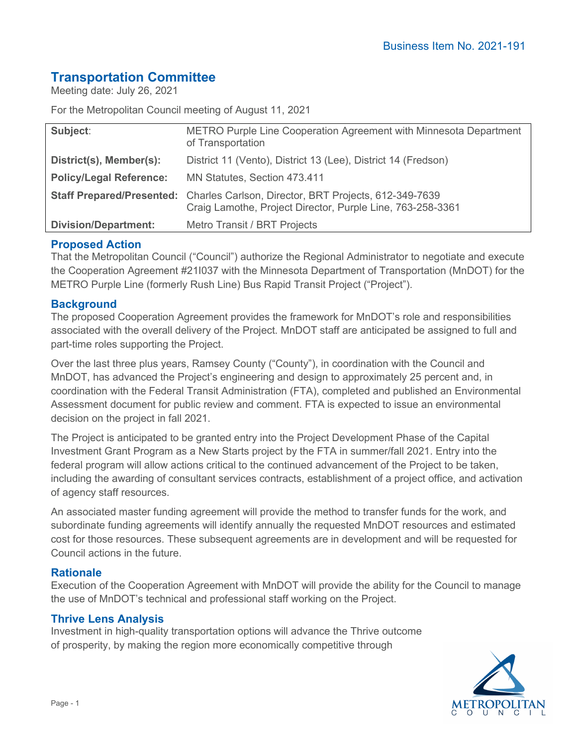# **Transportation Committee**

Meeting date: July 26, 2021

For the Metropolitan Council meeting of August 11, 2021

| Subject:                       | METRO Purple Line Cooperation Agreement with Minnesota Department<br>of Transportation                                                        |
|--------------------------------|-----------------------------------------------------------------------------------------------------------------------------------------------|
| District(s), Member(s):        | District 11 (Vento), District 13 (Lee), District 14 (Fredson)                                                                                 |
| <b>Policy/Legal Reference:</b> | MN Statutes, Section 473.411                                                                                                                  |
|                                | Staff Prepared/Presented: Charles Carlson, Director, BRT Projects, 612-349-7639<br>Craig Lamothe, Project Director, Purple Line, 763-258-3361 |
| <b>Division/Department:</b>    | Metro Transit / BRT Projects                                                                                                                  |

# **Proposed Action**

That the Metropolitan Council ("Council") authorize the Regional Administrator to negotiate and execute the Cooperation Agreement #21I037 with the Minnesota Department of Transportation (MnDOT) for the METRO Purple Line (formerly Rush Line) Bus Rapid Transit Project ("Project").

#### **Background**

The proposed Cooperation Agreement provides the framework for MnDOT's role and responsibilities associated with the overall delivery of the Project. MnDOT staff are anticipated be assigned to full and part-time roles supporting the Project.

Over the last three plus years, Ramsey County ("County"), in coordination with the Council and MnDOT, has advanced the Project's engineering and design to approximately 25 percent and, in coordination with the Federal Transit Administration (FTA), completed and published an Environmental Assessment document for public review and comment. FTA is expected to issue an environmental decision on the project in fall 2021.

The Project is anticipated to be granted entry into the Project Development Phase of the Capital Investment Grant Program as a New Starts project by the FTA in summer/fall 2021. Entry into the federal program will allow actions critical to the continued advancement of the Project to be taken, including the awarding of consultant services contracts, establishment of a project office, and activation of agency staff resources.

An associated master funding agreement will provide the method to transfer funds for the work, and subordinate funding agreements will identify annually the requested MnDOT resources and estimated cost for those resources. These subsequent agreements are in development and will be requested for Council actions in the future.

### **Rationale**

Execution of the Cooperation Agreement with MnDOT will provide the ability for the Council to manage the use of MnDOT's technical and professional staff working on the Project.

#### **Thrive Lens Analysis**

Investment in high-quality transportation options will advance the Thrive outcome of prosperity, by making the region more economically competitive through